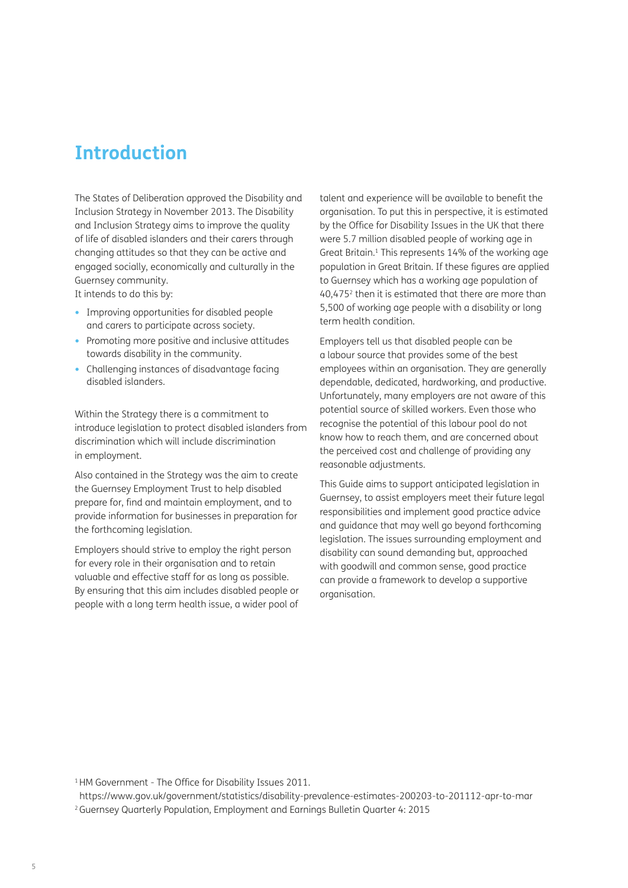## **Introduction**

The States of Deliberation approved the Disability and Inclusion Strategy in November 2013. The Disability and Inclusion Strategy aims to improve the quality of life of disabled islanders and their carers through changing attitudes so that they can be active and engaged socially, economically and culturally in the Guernsey community.

It intends to do this by:

- Improving opportunities for disabled people and carers to participate across society.
- Promoting more positive and inclusive attitudes towards disability in the community.
- Challenging instances of disadvantage facing disabled islanders.

Within the Strategy there is a commitment to introduce legislation to protect disabled islanders from discrimination which will include discrimination in employment.

Also contained in the Strategy was the aim to create the Guernsey Employment Trust to help disabled prepare for, find and maintain employment, and to provide information for businesses in preparation for the forthcoming legislation.

Employers should strive to employ the right person for every role in their organisation and to retain valuable and effective staff for as long as possible. By ensuring that this aim includes disabled people or people with a long term health issue, a wider pool of

talent and experience will be available to benefit the organisation. To put this in perspective, it is estimated by the Office for Disability Issues in the UK that there were 5.7 million disabled people of working age in Great Britain.<sup>1</sup> This represents 14% of the working age population in Great Britain. If these figures are applied to Guernsey which has a working age population of 40,4752 then it is estimated that there are more than 5,500 of working age people with a disability or long term health condition.

Employers tell us that disabled people can be a labour source that provides some of the best employees within an organisation. They are generally dependable, dedicated, hardworking, and productive. Unfortunately, many employers are not aware of this potential source of skilled workers. Even those who recognise the potential of this labour pool do not know how to reach them, and are concerned about the perceived cost and challenge of providing any reasonable adjustments.

This Guide aims to support anticipated legislation in Guernsey, to assist employers meet their future legal responsibilities and implement good practice advice and guidance that may well go beyond forthcoming legislation. The issues surrounding employment and disability can sound demanding but, approached with goodwill and common sense, good practice can provide a framework to develop a supportive organisation.

<sup>1</sup> HM Government - The Office for Disability Issues 2011.

 https://www.gov.uk/government/statistics/disability-prevalence-estimates-200203-to-201112-apr-to-mar 2 Guernsey Quarterly Population, Employment and Earnings Bulletin Quarter 4: 2015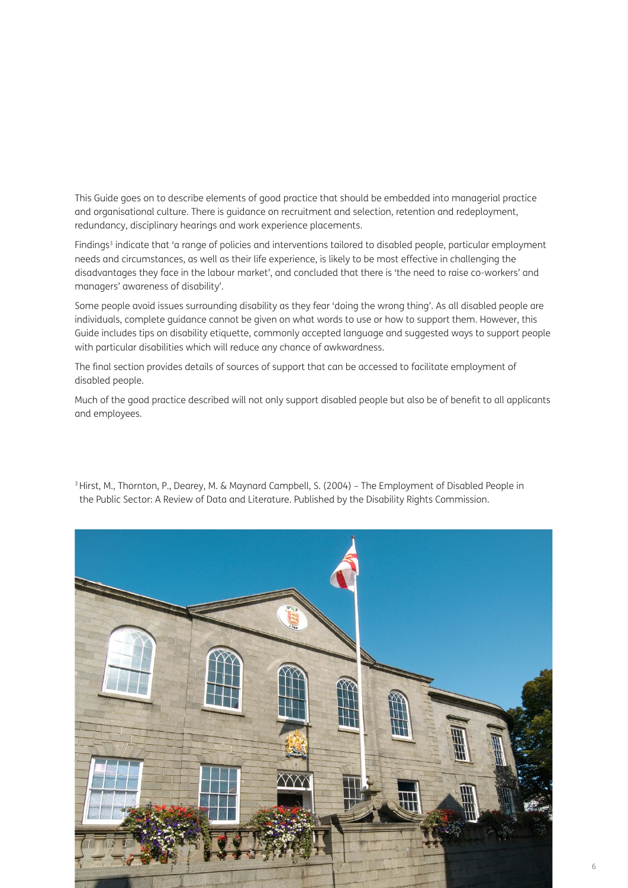This Guide goes on to describe elements of good practice that should be embedded into managerial practice and organisational culture. There is guidance on recruitment and selection, retention and redeployment, redundancy, disciplinary hearings and work experience placements.

Findings<sup>3</sup> indicate that 'a range of policies and interventions tailored to disabled people, particular employment needs and circumstances, as well as their life experience, is likely to be most effective in challenging the disadvantages they face in the labour market', and concluded that there is 'the need to raise co-workers' and managers' awareness of disability'.

Some people avoid issues surrounding disability as they fear 'doing the wrong thing'. As all disabled people are individuals, complete guidance cannot be given on what words to use or how to support them. However, this Guide includes tips on disability etiquette, commonly accepted language and suggested ways to support people with particular disabilities which will reduce any chance of awkwardness.

The final section provides details of sources of support that can be accessed to facilitate employment of disabled people.

Much of the good practice described will not only support disabled people but also be of benefit to all applicants and employees.



<sup>3</sup> Hirst, M., Thornton, P., Dearey, M. & Maynard Campbell, S. (2004) - The Employment of Disabled People in the Public Sector: A Review of Data and Literature. Published by the Disability Rights Commission.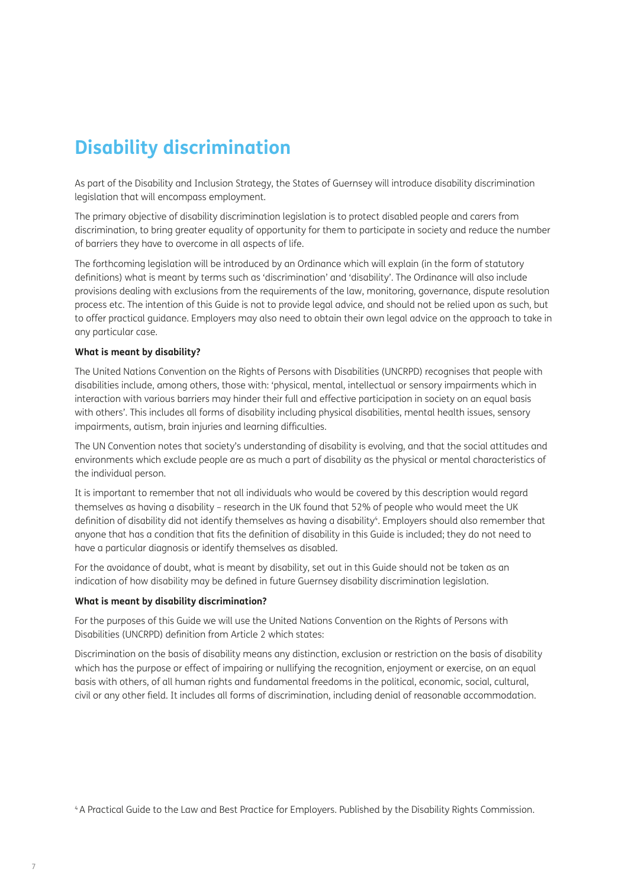## **Disability discrimination**

As part of the Disability and Inclusion Strategy, the States of Guernsey will introduce disability discrimination legislation that will encompass employment.

The primary objective of disability discrimination legislation is to protect disabled people and carers from discrimination, to bring greater equality of opportunity for them to participate in society and reduce the number of barriers they have to overcome in all aspects of life.

The forthcoming legislation will be introduced by an Ordinance which will explain (in the form of statutory definitions) what is meant by terms such as 'discrimination' and 'disability'. The Ordinance will also include provisions dealing with exclusions from the requirements of the law, monitoring, governance, dispute resolution process etc. The intention of this Guide is not to provide legal advice, and should not be relied upon as such, but to offer practical guidance. Employers may also need to obtain their own legal advice on the approach to take in any particular case.

#### **What is meant by disability?**

The United Nations Convention on the Rights of Persons with Disabilities (UNCRPD) recognises that people with disabilities include, among others, those with: 'physical, mental, intellectual or sensory impairments which in interaction with various barriers may hinder their full and effective participation in society on an equal basis with others'. This includes all forms of disability including physical disabilities, mental health issues, sensory impairments, autism, brain injuries and learning difficulties.

The UN Convention notes that society's understanding of disability is evolving, and that the social attitudes and environments which exclude people are as much a part of disability as the physical or mental characteristics of the individual person.

It is important to remember that not all individuals who would be covered by this description would regard themselves as having a disability – research in the UK found that 52% of people who would meet the UK definition of disability did not identify themselves as having a disability<sup>4</sup>. Employers should also remember that anyone that has a condition that fits the definition of disability in this Guide is included; they do not need to have a particular diagnosis or identify themselves as disabled.

For the avoidance of doubt, what is meant by disability, set out in this Guide should not be taken as an indication of how disability may be defined in future Guernsey disability discrimination legislation.

#### **What is meant by disability discrimination?**

For the purposes of this Guide we will use the United Nations Convention on the Rights of Persons with Disabilities (UNCRPD) definition from Article 2 which states:

Discrimination on the basis of disability means any distinction, exclusion or restriction on the basis of disability which has the purpose or effect of impairing or nullifying the recognition, enjoyment or exercise, on an equal basis with others, of all human rights and fundamental freedoms in the political, economic, social, cultural, civil or any other field. It includes all forms of discrimination, including denial of reasonable accommodation.

4 A Practical Guide to the Law and Best Practice for Employers. Published by the Disability Rights Commission.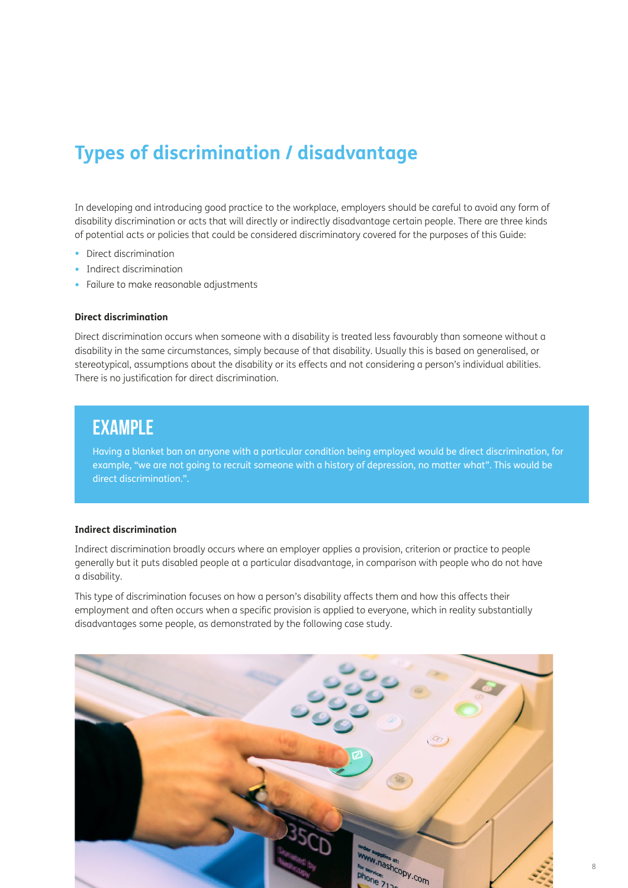## **Types of discrimination / disadvantage**

In developing and introducing good practice to the workplace, employers should be careful to avoid any form of disability discrimination or acts that will directly or indirectly disadvantage certain people. There are three kinds of potential acts or policies that could be considered discriminatory covered for the purposes of this Guide:

- Direct discrimination
- Indirect discrimination
- Failure to make reasonable adjustments

#### **Direct discrimination**

Direct discrimination occurs when someone with a disability is treated less favourably than someone without a disability in the same circumstances, simply because of that disability. Usually this is based on generalised, or stereotypical, assumptions about the disability or its effects and not considering a person's individual abilities. There is no justification for direct discrimination.

## EXAMPLE

Having a blanket ban on anyone with a particular condition being employed would be direct discrimination, for example, "we are not going to recruit someone with a history of depression, no matter what". This would be direct discrimination.".

#### **Indirect discrimination**

Indirect discrimination broadly occurs where an employer applies a provision, criterion or practice to people generally but it puts disabled people at a particular disadvantage, in comparison with people who do not have a disability.

This type of discrimination focuses on how a person's disability affects them and how this affects their employment and often occurs when a specific provision is applied to everyone, which in reality substantially disadvantages some people, as demonstrated by the following case study.

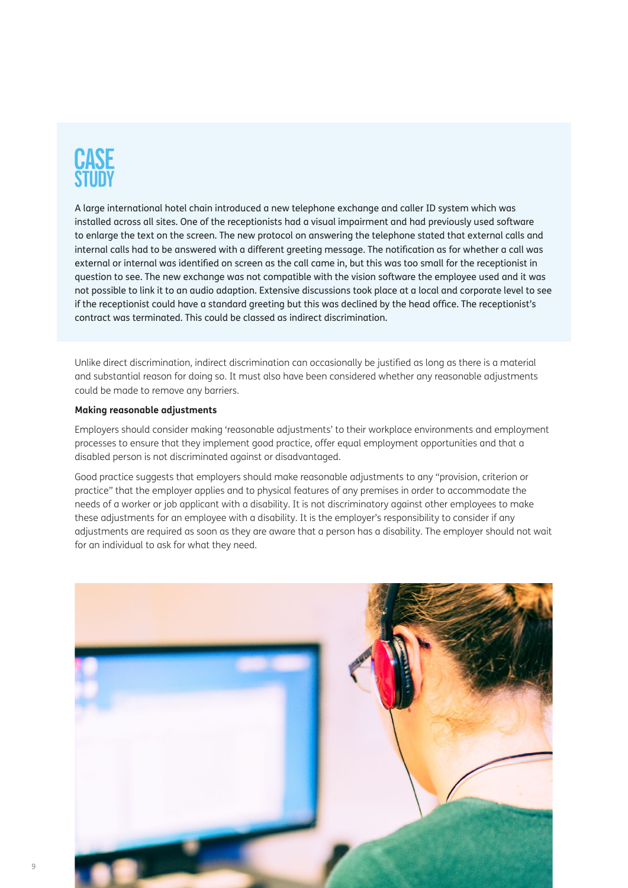# **CASE**

A large international hotel chain introduced a new telephone exchange and caller ID system which was installed across all sites. One of the receptionists had a visual impairment and had previously used software to enlarge the text on the screen. The new protocol on answering the telephone stated that external calls and internal calls had to be answered with a different greeting message. The notification as for whether a call was external or internal was identified on screen as the call came in, but this was too small for the receptionist in question to see. The new exchange was not compatible with the vision software the employee used and it was not possible to link it to an audio adaption. Extensive discussions took place at a local and corporate level to see if the receptionist could have a standard greeting but this was declined by the head office. The receptionist's contract was terminated. This could be classed as indirect discrimination.

Unlike direct discrimination, indirect discrimination can occasionally be justified as long as there is a material and substantial reason for doing so. It must also have been considered whether any reasonable adjustments could be made to remove any barriers.

### **Making reasonable adjustments**

Employers should consider making 'reasonable adjustments' to their workplace environments and employment processes to ensure that they implement good practice, offer equal employment opportunities and that a disabled person is not discriminated against or disadvantaged.

Good practice suggests that employers should make reasonable adjustments to any "provision, criterion or practice" that the employer applies and to physical features of any premises in order to accommodate the needs of a worker or job applicant with a disability. It is not discriminatory against other employees to make these adjustments for an employee with a disability. It is the employer's responsibility to consider if any adjustments are required as soon as they are aware that a person has a disability. The employer should not wait for an individual to ask for what they need.

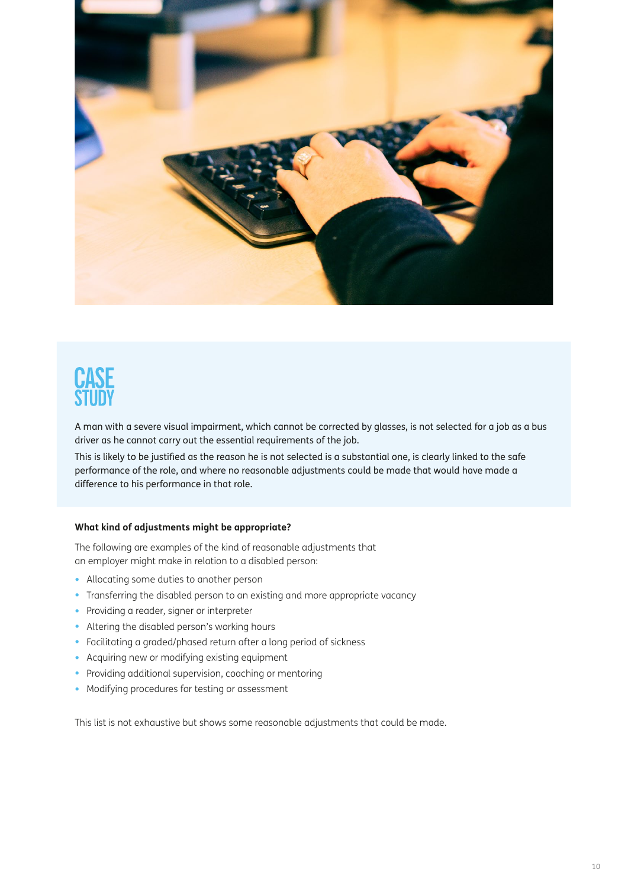

A man with a severe visual impairment, which cannot be corrected by glasses, is not selected for a job as a bus driver as he cannot carry out the essential requirements of the job.

This is likely to be justified as the reason he is not selected is a substantial one, is clearly linked to the safe performance of the role, and where no reasonable adjustments could be made that would have made a difference to his performance in that role.

#### **What kind of adjustments might be appropriate?**

The following are examples of the kind of reasonable adjustments that an employer might make in relation to a disabled person:

- Allocating some duties to another person
- Transferring the disabled person to an existing and more appropriate vacancy
- Providing a reader, signer or interpreter
- Altering the disabled person's working hours
- Facilitating a graded/phased return after a long period of sickness
- Acquiring new or modifying existing equipment
- Providing additional supervision, coaching or mentoring
- Modifying procedures for testing or assessment

This list is not exhaustive but shows some reasonable adjustments that could be made.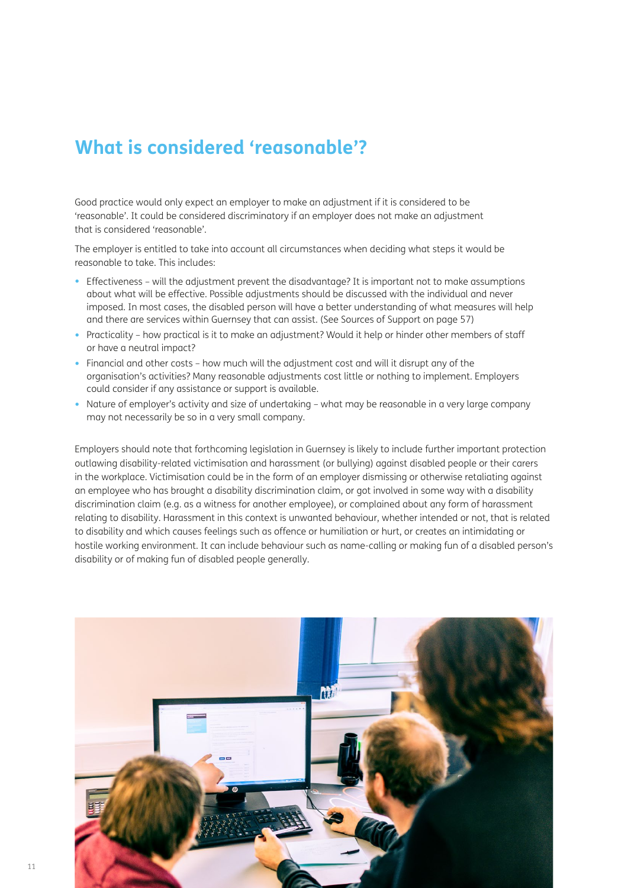## **What is considered 'reasonable'?**

Good practice would only expect an employer to make an adjustment if it is considered to be 'reasonable'. It could be considered discriminatory if an employer does not make an adjustment that is considered 'reasonable'.

The employer is entitled to take into account all circumstances when deciding what steps it would be reasonable to take. This includes:

- Effectiveness will the adjustment prevent the disadvantage? It is important not to make assumptions about what will be effective. Possible adjustments should be discussed with the individual and never imposed. In most cases, the disabled person will have a better understanding of what measures will help and there are services within Guernsey that can assist. (See Sources of Support on page 57)
- Practicality how practical is it to make an adjustment? Would it help or hinder other members of staff or have a neutral impact?
- Financial and other costs how much will the adjustment cost and will it disrupt any of the organisation's activities? Many reasonable adjustments cost little or nothing to implement. Employers could consider if any assistance or support is available.
- Nature of employer's activity and size of undertaking what may be reasonable in a very large company may not necessarily be so in a very small company.

Employers should note that forthcoming legislation in Guernsey is likely to include further important protection outlawing disability-related victimisation and harassment (or bullying) against disabled people or their carers in the workplace. Victimisation could be in the form of an employer dismissing or otherwise retaliating against an employee who has brought a disability discrimination claim, or got involved in some way with a disability discrimination claim (e.g. as a witness for another employee), or complained about any form of harassment relating to disability. Harassment in this context is unwanted behaviour, whether intended or not, that is related to disability and which causes feelings such as offence or humiliation or hurt, or creates an intimidating or hostile working environment. It can include behaviour such as name-calling or making fun of a disabled person's disability or of making fun of disabled people generally.

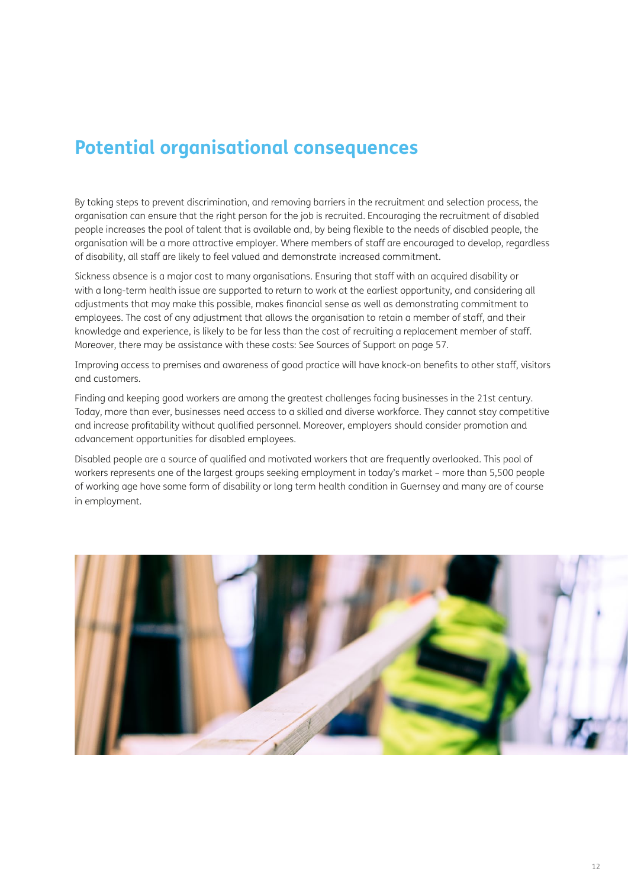## **Potential organisational consequences**

By taking steps to prevent discrimination, and removing barriers in the recruitment and selection process, the organisation can ensure that the right person for the job is recruited. Encouraging the recruitment of disabled people increases the pool of talent that is available and, by being flexible to the needs of disabled people, the organisation will be a more attractive employer. Where members of staff are encouraged to develop, regardless of disability, all staff are likely to feel valued and demonstrate increased commitment.

Sickness absence is a major cost to many organisations. Ensuring that staff with an acquired disability or with a long-term health issue are supported to return to work at the earliest opportunity, and considering all adjustments that may make this possible, makes financial sense as well as demonstrating commitment to employees. The cost of any adjustment that allows the organisation to retain a member of staff, and their knowledge and experience, is likely to be far less than the cost of recruiting a replacement member of staff. Moreover, there may be assistance with these costs: See Sources of Support on page 57.

Improving access to premises and awareness of good practice will have knock-on benefits to other staff, visitors and customers.

Finding and keeping good workers are among the greatest challenges facing businesses in the 21st century. Today, more than ever, businesses need access to a skilled and diverse workforce. They cannot stay competitive and increase profitability without qualified personnel. Moreover, employers should consider promotion and advancement opportunities for disabled employees.

Disabled people are a source of qualified and motivated workers that are frequently overlooked. This pool of workers represents one of the largest groups seeking employment in today's market – more than 5,500 people of working age have some form of disability or long term health condition in Guernsey and many are of course in employment.